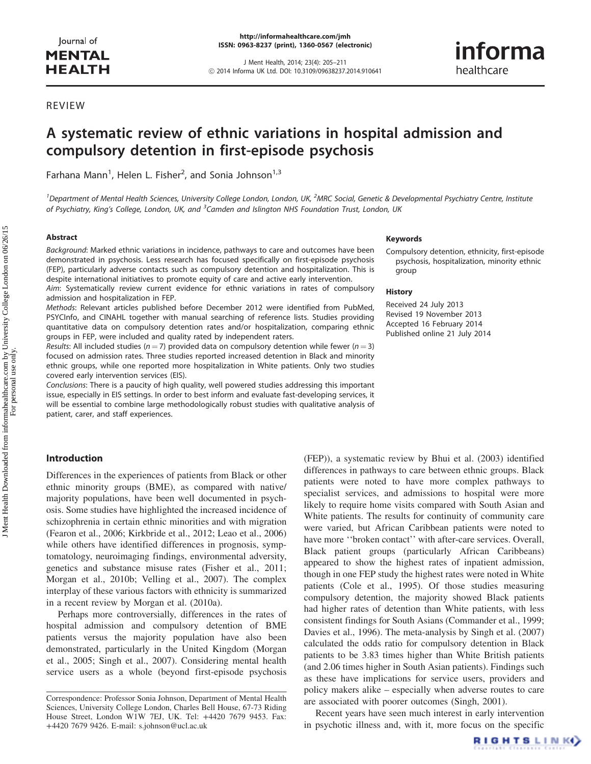J Ment Health, 2014; 23(4): 205–211 ! 2014 Informa UK Ltd. DOI: 10.3109/09638237.2014.910641 informa healthcare

# REVIEW

# A systematic review of ethnic variations in hospital admission and compulsory detention in first-episode psychosis

Farhana Mann<sup>1</sup>, Helen L. Fisher<sup>2</sup>, and Sonia Johnson<sup>1,3</sup>

<sup>1</sup> Department of Mental Health Sciences, University College London, London, UK, <sup>2</sup>MRC Social, Genetic & Developmental Psychiatry Centre, Institute of Psychiatry, King's College, London, UK, and <sup>3</sup>Camden and Islington NHS Foundation Trust, London, UK

#### Abstract

Background: Marked ethnic variations in incidence, pathways to care and outcomes have been demonstrated in psychosis. Less research has focused specifically on first-episode psychosis (FEP), particularly adverse contacts such as compulsory detention and hospitalization. This is despite international initiatives to promote equity of care and active early intervention.

Aim: Systematically review current evidence for ethnic variations in rates of compulsory admission and hospitalization in FEP.

Methods: Relevant articles published before December 2012 were identified from PubMed, PSYCInfo, and CINAHL together with manual searching of reference lists. Studies providing quantitative data on compulsory detention rates and/or hospitalization, comparing ethnic groups in FEP, were included and quality rated by independent raters.

Results: All included studies ( $n = 7$ ) provided data on compulsory detention while fewer ( $n = 3$ ) focused on admission rates. Three studies reported increased detention in Black and minority ethnic groups, while one reported more hospitalization in White patients. Only two studies covered early intervention services (EIS).

Conclusions: There is a paucity of high quality, well powered studies addressing this important issue, especially in EIS settings. In order to best inform and evaluate fast-developing services, it will be essential to combine large methodologically robust studies with qualitative analysis of patient, carer, and staff experiences.

# Introduction

Differences in the experiences of patients from Black or other ethnic minority groups (BME), as compared with native/ majority populations, have been well documented in psychosis. Some studies have highlighted the increased incidence of schizophrenia in certain ethnic minorities and with migration (Fearon et al., [2006;](#page-6-0) Kirkbride et al., [2012](#page-6-0); Leao et al., 2006) while others have identified differences in prognosis, symptomatology, neuroimaging findings, environmental adversity, genetics and substance misuse rates (Fisher et al., [2011](#page-6-0); Morgan et al., [2010b;](#page-6-0) Velling et al., [2007](#page-6-0)). The complex interplay of these various factors with ethnicity is summarized in a recent review by Morgan et al. ([2010a\)](#page-6-0).

Perhaps more controversially, differences in the rates of hospital admission and compulsory detention of BME patients versus the majority population have also been demonstrated, particularly in the United Kingdom (Morgan et al., [2005](#page-6-0); Singh et al., [2007](#page-6-0)). Considering mental health service users as a whole (beyond first-episode psychosis

#### Keywords

Compulsory detention, ethnicity, first-episode psychosis, hospitalization, minority ethnic group

#### **History**

Received 24 July 2013 Revised 19 November 2013 Accepted 16 February 2014 Published online 21 July 2014

(FEP)), a systematic review by Bhui et al. [\(2003](#page-6-0)) identified differences in pathways to care between ethnic groups. Black patients were noted to have more complex pathways to specialist services, and admissions to hospital were more likely to require home visits compared with South Asian and White patients. The results for continuity of community care were varied, but African Caribbean patients were noted to have more "broken contact" with after-care services. Overall, Black patient groups (particularly African Caribbeans) appeared to show the highest rates of inpatient admission, though in one FEP study the highest rates were noted in White patients (Cole et al., [1995\)](#page-6-0). Of those studies measuring compulsory detention, the majority showed Black patients had higher rates of detention than White patients, with less consistent findings for South Asians (Commander et al., 1999; Davies et al., 1996). The meta-analysis by Singh et al. ([2007\)](#page-6-0) calculated the odds ratio for compulsory detention in Black patients to be 3.83 times higher than White British patients (and 2.06 times higher in South Asian patients). Findings such as these have implications for service users, providers and policy makers alike – especially when adverse routes to care are associated with poorer outcomes (Singh, [2001](#page-6-0)).

Recent years have seen much interest in early intervention in psychotic illness and, with it, more focus on the specific

Correspondence: Professor Sonia Johnson, Department of Mental Health Sciences, University College London, Charles Bell House, 67-73 Riding House Street, London W1W 7EJ, UK. Tel: +4420 7679 9453. Fax: +4420 7679 9426. E-mail: s.johnson@ucl.ac.uk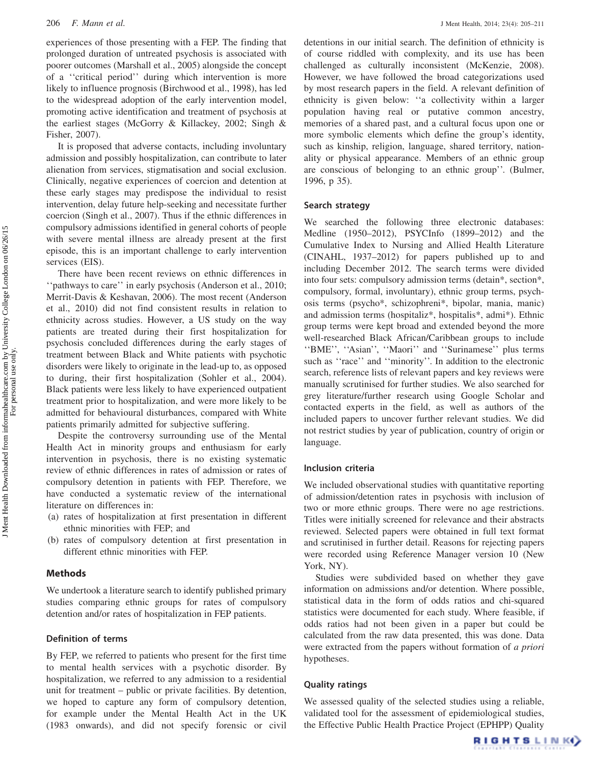experiences of those presenting with a FEP. The finding that prolonged duration of untreated psychosis is associated with poorer outcomes (Marshall et al., [2005](#page-6-0)) alongside the concept of a ''critical period'' during which intervention is more likely to influence prognosis (Birchwood et al., [1998](#page-6-0)), has led to the widespread adoption of the early intervention model, promoting active identification and treatment of psychosis at the earliest stages (McGorry & Killackey, 2002; Singh & Fisher, [2007](#page-6-0)).

It is proposed that adverse contacts, including involuntary admission and possibly hospitalization, can contribute to later alienation from services, stigmatisation and social exclusion. Clinically, negative experiences of coercion and detention at these early stages may predispose the individual to resist intervention, delay future help-seeking and necessitate further coercion (Singh et al., [2007](#page-6-0)). Thus if the ethnic differences in compulsory admissions identified in general cohorts of people with severe mental illness are already present at the first episode, this is an important challenge to early intervention services (EIS).

There have been recent reviews on ethnic differences in ''pathways to care'' in early psychosis (Anderson et al., [2010](#page-5-0); Merrit-Davis & Keshavan, [2006](#page-6-0)). The most recent (Anderson et al., [2010\)](#page-5-0) did not find consistent results in relation to ethnicity across studies. However, a US study on the way patients are treated during their first hospitalization for psychosis concluded differences during the early stages of treatment between Black and White patients with psychotic disorders were likely to originate in the lead-up to, as opposed to during, their first hospitalization (Sohler et al., [2004](#page-6-0)). Black patients were less likely to have experienced outpatient treatment prior to hospitalization, and were more likely to be admitted for behavioural disturbances, compared with White patients primarily admitted for subjective suffering.

Despite the controversy surrounding use of the Mental Health Act in minority groups and enthusiasm for early intervention in psychosis, there is no existing systematic review of ethnic differences in rates of admission or rates of compulsory detention in patients with FEP. Therefore, we have conducted a systematic review of the international literature on differences in:

- (a) rates of hospitalization at first presentation in different ethnic minorities with FEP; and
- (b) rates of compulsory detention at first presentation in different ethnic minorities with FEP.

# Methods

We undertook a literature search to identify published primary studies comparing ethnic groups for rates of compulsory detention and/or rates of hospitalization in FEP patients.

# Definition of terms

By FEP, we referred to patients who present for the first time to mental health services with a psychotic disorder. By hospitalization, we referred to any admission to a residential unit for treatment – public or private facilities. By detention, we hoped to capture any form of compulsory detention, for example under the Mental Health Act in the UK (1983 onwards), and did not specify forensic or civil

detentions in our initial search. The definition of ethnicity is of course riddled with complexity, and its use has been challenged as culturally inconsistent (McKenzie, [2008](#page-6-0)). However, we have followed the broad categorizations used by most research papers in the field. A relevant definition of ethnicity is given below: ''a collectivity within a larger population having real or putative common ancestry, memories of a shared past, and a cultural focus upon one or more symbolic elements which define the group's identity, such as kinship, religion, language, shared territory, nationality or physical appearance. Members of an ethnic group are conscious of belonging to an ethnic group''. (Bulmer, [1996,](#page-6-0) p 35).

# Search strategy

We searched the following three electronic databases: Medline (1950–2012), PSYCInfo (1899–2012) and the Cumulative Index to Nursing and Allied Health Literature (CINAHL, 1937–2012) for papers published up to and including December 2012. The search terms were divided into four sets: compulsory admission terms (detain\*, section\*, compulsory, formal, involuntary), ethnic group terms, psychosis terms (psycho\*, schizophreni\*, bipolar, mania, manic) and admission terms (hospitaliz\*, hospitalis\*, admi\*). Ethnic group terms were kept broad and extended beyond the more well-researched Black African/Caribbean groups to include ''BME'', ''Asian'', ''Maori'' and ''Surinamese'' plus terms such as ''race'' and ''minority''. In addition to the electronic search, reference lists of relevant papers and key reviews were manually scrutinised for further studies. We also searched for grey literature/further research using Google Scholar and contacted experts in the field, as well as authors of the included papers to uncover further relevant studies. We did not restrict studies by year of publication, country of origin or language.

# Inclusion criteria

We included observational studies with quantitative reporting of admission/detention rates in psychosis with inclusion of two or more ethnic groups. There were no age restrictions. Titles were initially screened for relevance and their abstracts reviewed. Selected papers were obtained in full text format and scrutinised in further detail. Reasons for rejecting papers were recorded using Reference Manager version 10 (New York, NY).

Studies were subdivided based on whether they gave information on admissions and/or detention. Where possible, statistical data in the form of odds ratios and chi-squared statistics were documented for each study. Where feasible, if odds ratios had not been given in a paper but could be calculated from the raw data presented, this was done. Data were extracted from the papers without formation of a priori hypotheses.

#### Quality ratings

We assessed quality of the selected studies using a reliable, validated tool for the assessment of epidemiological studies, the Effective Public Health Practice Project (EPHPP) Quality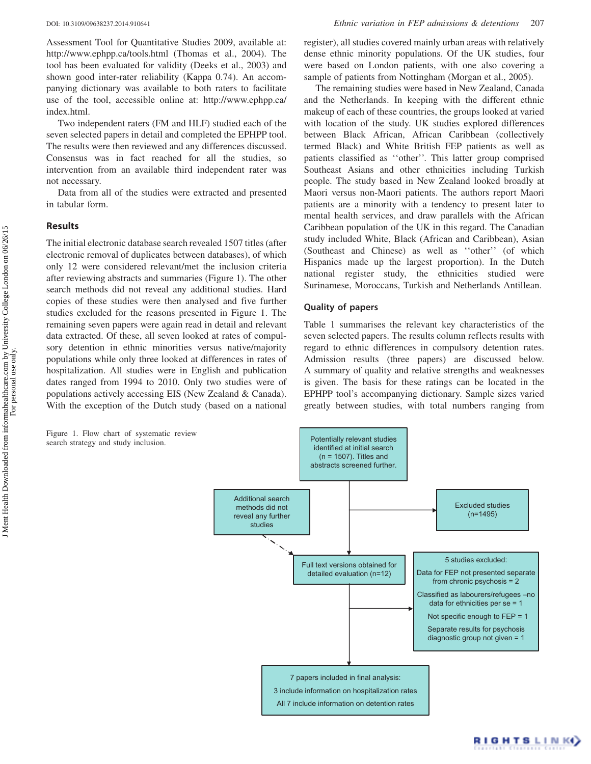Assessment Tool for Quantitative Studies [2009,](#page-6-0) available at: http://www.ephpp.ca/tools.html (Thomas et al., 2004). The tool has been evaluated for validity (Deeks et al., [2003\)](#page-6-0) and shown good inter-rater reliability (Kappa 0.74). An accompanying dictionary was available to both raters to facilitate use of the tool, accessible online at: http://www.ephpp.ca/ index.html.

Two independent raters (FM and HLF) studied each of the seven selected papers in detail and completed the EPHPP tool. The results were then reviewed and any differences discussed. Consensus was in fact reached for all the studies, so intervention from an available third independent rater was not necessary.

Data from all of the studies were extracted and presented in tabular form.

# Results

The initial electronic database search revealed 1507 titles (after electronic removal of duplicates between databases), of which only 12 were considered relevant/met the inclusion criteria after reviewing abstracts and summaries (Figure 1). The other search methods did not reveal any additional studies. Hard copies of these studies were then analysed and five further studies excluded for the reasons presented in Figure 1. The remaining seven papers were again read in detail and relevant data extracted. Of these, all seven looked at rates of compulsory detention in ethnic minorities versus native/majority populations while only three looked at differences in rates of hospitalization. All studies were in English and publication dates ranged from 1994 to 2010. Only two studies were of populations actively accessing EIS (New Zealand & Canada). With the exception of the Dutch study (based on a national

Figure 1. Flow chart of systematic review

register), all studies covered mainly urban areas with relatively dense ethnic minority populations. Of the UK studies, four were based on London patients, with one also covering a sample of patients from Nottingham (Morgan et al., [2005](#page-6-0)).

The remaining studies were based in New Zealand, Canada and the Netherlands. In keeping with the different ethnic makeup of each of these countries, the groups looked at varied with location of the study. UK studies explored differences between Black African, African Caribbean (collectively termed Black) and White British FEP patients as well as patients classified as ''other''. This latter group comprised Southeast Asians and other ethnicities including Turkish people. The study based in New Zealand looked broadly at Maori versus non-Maori patients. The authors report Maori patients are a minority with a tendency to present later to mental health services, and draw parallels with the African Caribbean population of the UK in this regard. The Canadian study included White, Black (African and Caribbean), Asian (Southeast and Chinese) as well as ''other'' (of which Hispanics made up the largest proportion). In the Dutch national register study, the ethnicities studied were Surinamese, Moroccans, Turkish and Netherlands Antillean.

#### Quality of papers

[Table 1](#page-3-0) summarises the relevant key characteristics of the seven selected papers. The results column reflects results with regard to ethnic differences in compulsory detention rates. Admission results (three papers) are discussed below. A summary of quality and relative strengths and weaknesses is given. The basis for these ratings can be located in the EPHPP tool's accompanying dictionary. Sample sizes varied greatly between studies, with total numbers ranging from

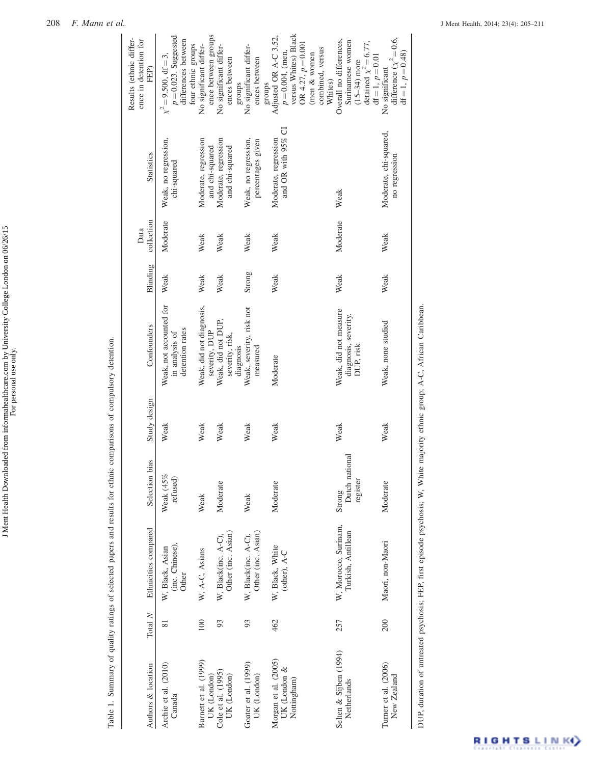| $\frac{1}{2}$<br>יי ה<br>י<br>ĺ<br>٦ |               |
|--------------------------------------|---------------|
| homa com hy I num<br>i               | $\frac{1}{2}$ |
|                                      |               |

<span id="page-3-0"></span>

|                                                     |         | Table 1. Summary of quality ratings of selected papers and results for ethnic comparisons of compulsory detention. |                                      |              |                                                              |          |                    |                                            |                                                                                                                                             |
|-----------------------------------------------------|---------|--------------------------------------------------------------------------------------------------------------------|--------------------------------------|--------------|--------------------------------------------------------------|----------|--------------------|--------------------------------------------|---------------------------------------------------------------------------------------------------------------------------------------------|
| Authors & location                                  | Total N | Ethnicities compared                                                                                               | Selection bias                       | Study design | Confounders                                                  | Blinding | collection<br>Data | <b>Statistics</b>                          | Results (ethnic differ-<br>ence in detention for<br>FEP)                                                                                    |
| Archie et al. (2010)<br>Canada                      |         | (inc. Chinese),<br>W, Black, Asian<br>Other                                                                        | Weak (45%<br>refused)                | Weak         | Weak, not accounted for<br>detention rates<br>in analysis of | Weak     | Moderate           | Weak, no regression,<br>chi-squared        | $p = 0.023$ . Suggested<br>differences between<br>four ethnic groups<br>$\chi^2 = 9.500, df = 3,$                                           |
| Burnett et al. (1999)<br>UK (London)                | 100     | W, A-C, Asians                                                                                                     | Weak                                 | Weak         | Weak, did not diagnosis,<br>severity, DUP                    | Weak     | Weak               | Moderate, regression<br>and chi-squared    | ence between groups<br>No significant differ-                                                                                               |
| Cole et al. (1995)<br>UK (London)                   | 93      | Other (inc. Asian)<br>W, Black(inc. A-C),                                                                          | Moderate                             | Weak         | Weak, did not DUP,<br>severity, risk,<br>diagnosis           | Weak     | Weak               | Moderate, regression<br>and chi-squared    | No significant differ-<br>ences between<br>stonbs                                                                                           |
| Goater et al. (1999)<br>UK (London)                 | 93      | Other (inc. Asian)<br>W, Black(inc. A-C),                                                                          | Weak                                 | Weak         | Weak, severity, risk not<br>measured                         | Strong   | Weak               | Weak, no regression,<br>percentages given  | No significant differ-<br>ences between<br>groups                                                                                           |
| Morgan et al. (2005)<br>UK (London &<br>Nottingham) | 462     | W, Black, White<br>(other), A-C                                                                                    | Moderate                             | Weak         | Moderate                                                     | Weak     | Weak               | and OR with 95% CI<br>Moderate, regression | versus Whites) Black<br>Adjusted OR A-C 3.52,<br>OR 4.27, $p = 0.001$<br>combined, versus<br>$p = 0.004$ , (men,<br>(men & women<br>Whites) |
| Selten & Sijben (1994)<br>Netherlands               | 257     | W, Morocco, Surinam,<br>Turkish, Antillean                                                                         | Dutch national<br>register<br>Strong | Weak         | Weak, did not measure<br>diagnosis, severity,<br>DUP, risk   | Weak     | Moderate           | Weak                                       | Overall no differences,<br>Surinamese women<br>detained $\chi^2 = 6.77$ ,<br>$df = 1, p = 0.01$<br>$(15 - 34)$ more                         |
| Turner et al. (2006)<br>New Zealand                 | 200     | Maori, non-Maori                                                                                                   | Moderate                             | Weak         | Weak, none studied                                           | Weak     | Weak               | Moderate, chi-squared,<br>no regression    | difference $(\chi^2 = 0.6,$<br>$df = 1, p = 0.48$<br>No significant                                                                         |
| h m                                                 |         | $\mathbf{r}$ and $\mathbf{r}$                                                                                      | $\cdots$ and all $\cdots$            |              |                                                              |          |                    |                                            |                                                                                                                                             |

DUP, duration of untreated psychosis; FEP, first episode psychosis; W, White majority ethnic group; A-C, African Caribbean. DUP, duration of untreated psychosis; FEP, first episode psychosis; W, White majority ethnic group; A-C, African Caribbean.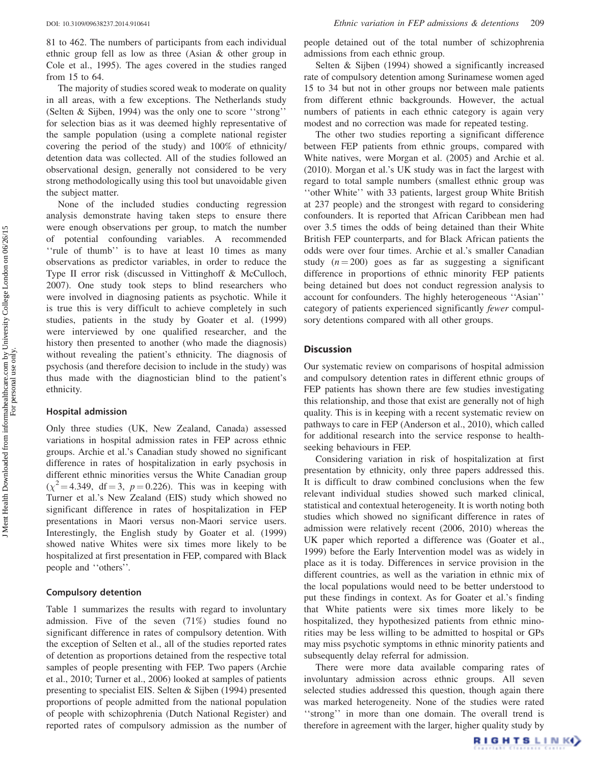DOI: 10.3109/09638237.2014.910641 Ethnic variation in FEP admissions & detentions 209

81 to 462. The numbers of participants from each individual ethnic group fell as low as three (Asian & other group in Cole et al., [1995\)](#page-6-0). The ages covered in the studies ranged from 15 to 64.

The majority of studies scored weak to moderate on quality in all areas, with a few exceptions. The Netherlands study (Selten & Sijben, [1994\)](#page-6-0) was the only one to score ''strong'' for selection bias as it was deemed highly representative of the sample population (using a complete national register covering the period of the study) and 100% of ethnicity/ detention data was collected. All of the studies followed an observational design, generally not considered to be very strong methodologically using this tool but unavoidable given the subject matter.

None of the included studies conducting regression analysis demonstrate having taken steps to ensure there were enough observations per group, to match the number of potential confounding variables. A recommended ''rule of thumb'' is to have at least 10 times as many observations as predictor variables, in order to reduce the Type II error risk (discussed in Vittinghoff & McCulloch, [2007\)](#page-6-0). One study took steps to blind researchers who were involved in diagnosing patients as psychotic. While it is true this is very difficult to achieve completely in such studies, patients in the study by Goater et al. ([1999\)](#page-6-0) were interviewed by one qualified researcher, and the history then presented to another (who made the diagnosis) without revealing the patient's ethnicity. The diagnosis of psychosis (and therefore decision to include in the study) was thus made with the diagnostician blind to the patient's ethnicity.

#### Hospital admission

Only three studies (UK, New Zealand, Canada) assessed variations in hospital admission rates in FEP across ethnic groups. Archie et al.'s Canadian study showed no significant difference in rates of hospitalization in early psychosis in different ethnic minorities versus the White Canadian group  $(\chi^2 = 4.349, df = 3, p = 0.226)$ . This was in keeping with Turner et al.'s New Zealand (EIS) study which showed no significant difference in rates of hospitalization in FEP presentations in Maori versus non-Maori service users. Interestingly, the English study by Goater et al. ([1999\)](#page-6-0) showed native Whites were six times more likely to be hospitalized at first presentation in FEP, compared with Black people and ''others''.

#### Compulsory detention

[Table 1](#page-3-0) summarizes the results with regard to involuntary admission. Five of the seven (71%) studies found no significant difference in rates of compulsory detention. With the exception of Selten et al., all of the studies reported rates of detention as proportions detained from the respective total samples of people presenting with FEP. Two papers (Archie et al., [2010;](#page-5-0) Turner et al., [2006\)](#page-6-0) looked at samples of patients presenting to specialist EIS. Selten & Sijben ([1994\)](#page-6-0) presented proportions of people admitted from the national population of people with schizophrenia (Dutch National Register) and reported rates of compulsory admission as the number of

people detained out of the total number of schizophrenia admissions from each ethnic group.

Selten & Sijben ([1994\)](#page-6-0) showed a significantly increased rate of compulsory detention among Surinamese women aged 15 to 34 but not in other groups nor between male patients from different ethnic backgrounds. However, the actual numbers of patients in each ethnic category is again very modest and no correction was made for repeated testing.

The other two studies reporting a significant difference between FEP patients from ethnic groups, compared with White natives, were Morgan et al. [\(2005\)](#page-6-0) and Archie et al. (2010). Morgan et al.'s UK study was in fact the largest with regard to total sample numbers (smallest ethnic group was ''other White'' with 33 patients, largest group White British at 237 people) and the strongest with regard to considering confounders. It is reported that African Caribbean men had over 3.5 times the odds of being detained than their White British FEP counterparts, and for Black African patients the odds were over four times. Archie et al.'s smaller Canadian study  $(n = 200)$  goes as far as suggesting a significant difference in proportions of ethnic minority FEP patients being detained but does not conduct regression analysis to account for confounders. The highly heterogeneous ''Asian'' category of patients experienced significantly fewer compulsory detentions compared with all other groups.

# **Discussion**

Our systematic review on comparisons of hospital admission and compulsory detention rates in different ethnic groups of FEP patients has shown there are few studies investigating this relationship, and those that exist are generally not of high quality. This is in keeping with a recent systematic review on pathways to care in FEP (Anderson et al., [2010\)](#page-5-0), which called for additional research into the service response to healthseeking behaviours in FEP.

Considering variation in risk of hospitalization at first presentation by ethnicity, only three papers addressed this. It is difficult to draw combined conclusions when the few relevant individual studies showed such marked clinical, statistical and contextual heterogeneity. It is worth noting both studies which showed no significant difference in rates of admission were relatively recent (2006, 2010) whereas the UK paper which reported a difference was (Goater et al., [1999\)](#page-6-0) before the Early Intervention model was as widely in place as it is today. Differences in service provision in the different countries, as well as the variation in ethnic mix of the local populations would need to be better understood to put these findings in context. As for Goater et al.'s finding that White patients were six times more likely to be hospitalized, they hypothesized patients from ethnic minorities may be less willing to be admitted to hospital or GPs may miss psychotic symptoms in ethnic minority patients and subsequently delay referral for admission.

There were more data available comparing rates of involuntary admission across ethnic groups. All seven selected studies addressed this question, though again there was marked heterogeneity. None of the studies were rated ''strong'' in more than one domain. The overall trend is therefore in agreement with the larger, higher quality study by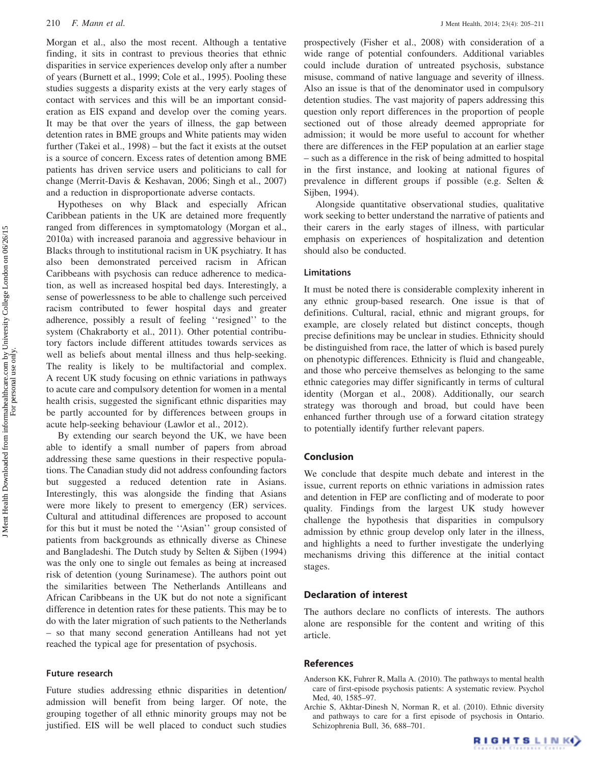<span id="page-5-0"></span>Morgan et al., also the most recent. Although a tentative finding, it sits in contrast to previous theories that ethnic disparities in service experiences develop only after a number of years (Burnett et al., [1999](#page-6-0); Cole et al., [1995\)](#page-6-0). Pooling these studies suggests a disparity exists at the very early stages of contact with services and this will be an important consideration as EIS expand and develop over the coming years. It may be that over the years of illness, the gap between detention rates in BME groups and White patients may widen further (Takei et al., [1998](#page-6-0)) – but the fact it exists at the outset is a source of concern. Excess rates of detention among BME patients has driven service users and politicians to call for change (Merrit-Davis & Keshavan, [2006;](#page-6-0) Singh et al., [2007\)](#page-6-0) and a reduction in disproportionate adverse contacts.

Hypotheses on why Black and especially African Caribbean patients in the UK are detained more frequently ranged from differences in symptomatology (Morgan et al., 2010a) with increased paranoia and aggressive behaviour in Blacks through to institutional racism in UK psychiatry. It has also been demonstrated perceived racism in African Caribbeans with psychosis can reduce adherence to medication, as well as increased hospital bed days. Interestingly, a sense of powerlessness to be able to challenge such perceived racism contributed to fewer hospital days and greater adherence, possibly a result of feeling ''resigned'' to the system (Chakraborty et al., [2011\)](#page-6-0). Other potential contributory factors include different attitudes towards services as well as beliefs about mental illness and thus help-seeking. The reality is likely to be multifactorial and complex. A recent UK study focusing on ethnic variations in pathways to acute care and compulsory detention for women in a mental health crisis, suggested the significant ethnic disparities may be partly accounted for by differences between groups in acute help-seeking behaviour (Lawlor et al., [2012\)](#page-6-0).

By extending our search beyond the UK, we have been able to identify a small number of papers from abroad addressing these same questions in their respective populations. The Canadian study did not address confounding factors but suggested a reduced detention rate in Asians. Interestingly, this was alongside the finding that Asians were more likely to present to emergency (ER) services. Cultural and attitudinal differences are proposed to account for this but it must be noted the ''Asian'' group consisted of patients from backgrounds as ethnically diverse as Chinese and Bangladeshi. The Dutch study by Selten & Sijben ([1994\)](#page-6-0) was the only one to single out females as being at increased risk of detention (young Surinamese). The authors point out the similarities between The Netherlands Antilleans and African Caribbeans in the UK but do not note a significant difference in detention rates for these patients. This may be to do with the later migration of such patients to the Netherlands – so that many second generation Antilleans had not yet reached the typical age for presentation of psychosis.

#### Future research

Future studies addressing ethnic disparities in detention/ admission will benefit from being larger. Of note, the grouping together of all ethnic minority groups may not be justified. EIS will be well placed to conduct such studies prospectively (Fisher et al., [2008\)](#page-6-0) with consideration of a wide range of potential confounders. Additional variables could include duration of untreated psychosis, substance misuse, command of native language and severity of illness. Also an issue is that of the denominator used in compulsory detention studies. The vast majority of papers addressing this question only report differences in the proportion of people sectioned out of those already deemed appropriate for admission; it would be more useful to account for whether there are differences in the FEP population at an earlier stage – such as a difference in the risk of being admitted to hospital in the first instance, and looking at national figures of prevalence in different groups if possible (e.g. Selten & Sijben, [1994\)](#page-6-0).

Alongside quantitative observational studies, qualitative work seeking to better understand the narrative of patients and their carers in the early stages of illness, with particular emphasis on experiences of hospitalization and detention should also be conducted.

# Limitations

It must be noted there is considerable complexity inherent in any ethnic group-based research. One issue is that of definitions. Cultural, racial, ethnic and migrant groups, for example, are closely related but distinct concepts, though precise definitions may be unclear in studies. Ethnicity should be distinguished from race, the latter of which is based purely on phenotypic differences. Ethnicity is fluid and changeable, and those who perceive themselves as belonging to the same ethnic categories may differ significantly in terms of cultural identity (Morgan et al., [2008](#page-6-0)). Additionally, our search strategy was thorough and broad, but could have been enhanced further through use of a forward citation strategy to potentially identify further relevant papers.

### Conclusion

We conclude that despite much debate and interest in the issue, current reports on ethnic variations in admission rates and detention in FEP are conflicting and of moderate to poor quality. Findings from the largest UK study however challenge the hypothesis that disparities in compulsory admission by ethnic group develop only later in the illness, and highlights a need to further investigate the underlying mechanisms driving this difference at the initial contact stages.

### Declaration of interest

The authors declare no conflicts of interests. The authors alone are responsible for the content and writing of this article.

#### References

- Anderson KK, Fuhrer R, Malla A. (2010). The pathways to mental health care of first-episode psychosis patients: A systematic review. Psychol Med, 40, 1585–97.
- Archie S, Akhtar-Dinesh N, Norman R, et al. (2010). Ethnic diversity and pathways to care for a first episode of psychosis in Ontario. Schizophrenia Bull, 36, 688–701.

For personal use only.